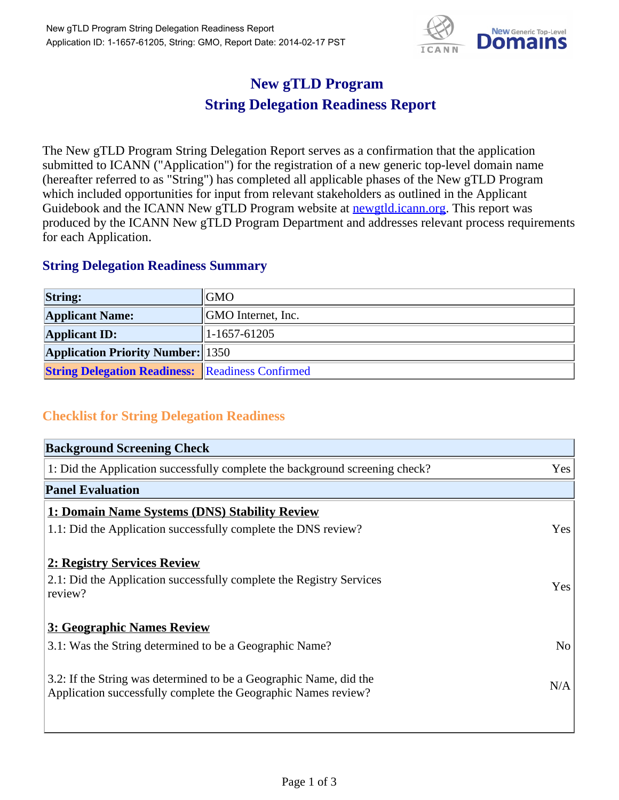

## **New gTLD Program String Delegation Readiness Report**

The New gTLD Program String Delegation Report serves as a confirmation that the application submitted to ICANN ("Application") for the registration of a new generic top-level domain name (hereafter referred to as "String") has completed all applicable phases of the New gTLD Program which included opportunities for input from relevant stakeholders as outlined in the Applicant Guidebook and the ICANN New gTLD Program website at **newgtld.jcann.org**. This report was produced by the ICANN New gTLD Program Department and addresses relevant process requirements for each Application.

## **String Delegation Readiness Summary**

| <b>String:</b>                                          | <b>GMO</b>                 |
|---------------------------------------------------------|----------------------------|
| <b>Applicant Name:</b>                                  | <b>SOMO</b> Internet, Inc. |
| <b>Applicant ID:</b>                                    | $1-1657-61205$             |
| <b>Application Priority Number:</b> 1350                |                            |
| <b>String Delegation Readiness:</b> Readiness Confirmed |                            |

## **Checklist for String Delegation Readiness**

| <b>Background Screening Check</b>                                               |                |  |
|---------------------------------------------------------------------------------|----------------|--|
| 1: Did the Application successfully complete the background screening check?    | Yes            |  |
| <b>Panel Evaluation</b>                                                         |                |  |
| 1: Domain Name Systems (DNS) Stability Review                                   |                |  |
| 1.1: Did the Application successfully complete the DNS review?                  | Yes            |  |
| 2: Registry Services Review                                                     |                |  |
|                                                                                 |                |  |
| 2.1: Did the Application successfully complete the Registry Services<br>review? | <b>Yes</b>     |  |
|                                                                                 |                |  |
| 3: Geographic Names Review                                                      |                |  |
| 3.1: Was the String determined to be a Geographic Name?                         | N <sub>0</sub> |  |
| 3.2: If the String was determined to be a Geographic Name, did the              |                |  |
| Application successfully complete the Geographic Names review?                  | N/A            |  |
|                                                                                 |                |  |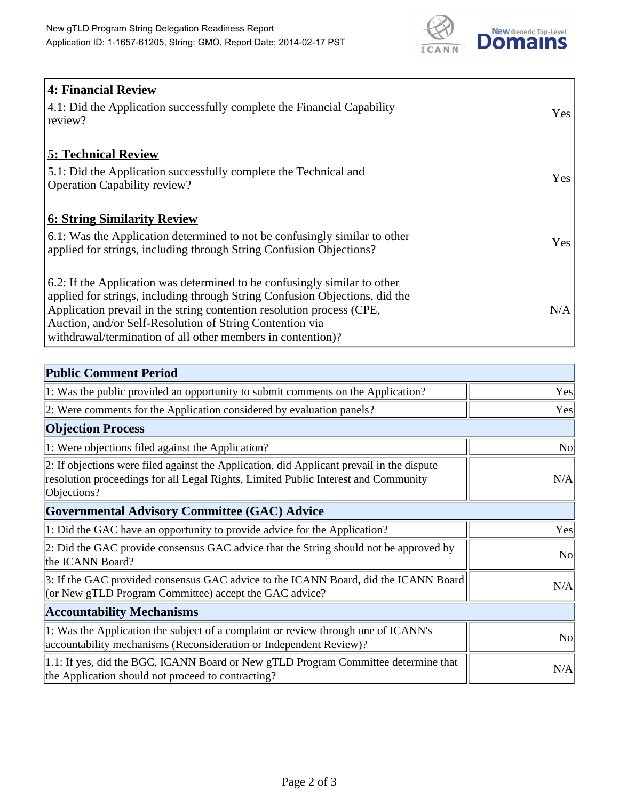

| <b>4: Financial Review</b><br>$\vert$ 4.1: Did the Application successfully complete the Financial Capability |            |
|---------------------------------------------------------------------------------------------------------------|------------|
| review?                                                                                                       | <b>Yes</b> |
| <b>5: Technical Review</b>                                                                                    |            |
| 5.1: Did the Application successfully complete the Technical and                                              | <b>Yes</b> |
| <b>Operation Capability review?</b>                                                                           |            |
| <b>6: String Similarity Review</b>                                                                            |            |
| $\vert$ 6.1: Was the Application determined to not be confusingly similar to other                            | Yes        |
| applied for strings, including through String Confusion Objections?                                           |            |
| 6.2: If the Application was determined to be confusingly similar to other                                     |            |
| applied for strings, including through String Confusion Objections, did the                                   |            |
| Application prevail in the string contention resolution process (CPE,                                         | N/A        |
| Auction, and/or Self-Resolution of String Contention via                                                      |            |
| withdrawal/termination of all other members in contention)?                                                   |            |

| <b>Public Comment Period</b>                                                                                                                                                                   |                |
|------------------------------------------------------------------------------------------------------------------------------------------------------------------------------------------------|----------------|
| 1: Was the public provided an opportunity to submit comments on the Application?                                                                                                               | Yes            |
| 2: Were comments for the Application considered by evaluation panels?                                                                                                                          | Yes            |
| <b>Objection Process</b>                                                                                                                                                                       |                |
| 1: Were objections filed against the Application?                                                                                                                                              | <b>No</b>      |
| 2: If objections were filed against the Application, did Applicant prevail in the dispute<br>resolution proceedings for all Legal Rights, Limited Public Interest and Community<br>Objections? | N/A            |
| Governmental Advisory Committee (GAC) Advice                                                                                                                                                   |                |
| 1: Did the GAC have an opportunity to provide advice for the Application?                                                                                                                      | Yes            |
| 2: Did the GAC provide consensus GAC advice that the String should not be approved by<br>the ICANN Board?                                                                                      | N <sub>o</sub> |
| 3: If the GAC provided consensus GAC advice to the ICANN Board, did the ICANN Board<br>(or New gTLD Program Committee) accept the GAC advice?                                                  | N/A            |
| <b>Accountability Mechanisms</b>                                                                                                                                                               |                |
| 1: Was the Application the subject of a complaint or review through one of ICANN's<br>accountability mechanisms (Reconsideration or Independent Review)?                                       | <b>No</b>      |
| 1.1: If yes, did the BGC, ICANN Board or New gTLD Program Committee determine that<br>the Application should not proceed to contracting?                                                       | N/A            |